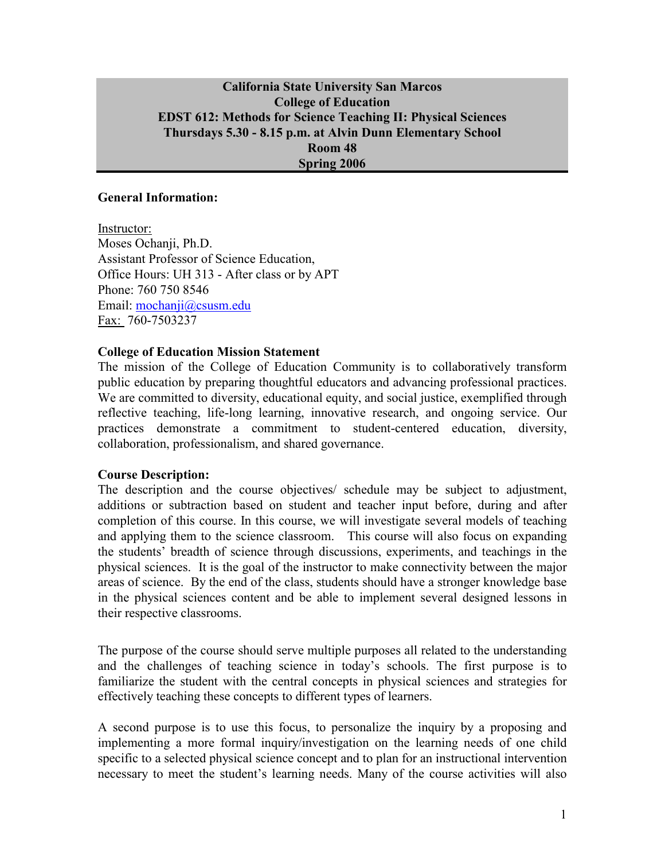### **California State University San Marcos College of Education EDST 612: Methods for Science Teaching II: Physical Sciences Thursdays 5.30 - 8.15 p.m. at Alvin Dunn Elementary School Room 48 Spring 2006**

#### **General Information:**

Instructor: Moses Ochanji, Ph.D. Assistant Professor of Science Education, Office Hours: UH 313 - After class or by APT Phone: 760 750 8546 Email: mochanji@csusm.edu Fax: 760-7503237

#### **College of Education Mission Statement**

The mission of the College of Education Community is to collaboratively transform public education by preparing thoughtful educators and advancing professional practices. We are committed to diversity, educational equity, and social justice, exemplified through reflective teaching, life-long learning, innovative research, and ongoing service. Our practices demonstrate a commitment to student-centered education, diversity, collaboration, professionalism, and shared governance.

#### **Course Description:**

The description and the course objectives/ schedule may be subject to adjustment, additions or subtraction based on student and teacher input before, during and after completion of this course. In this course, we will investigate several models of teaching and applying them to the science classroom. This course will also focus on expanding the students' breadth of science through discussions, experiments, and teachings in the physical sciences. It is the goal of the instructor to make connectivity between the major areas of science. By the end of the class, students should have a stronger knowledge base in the physical sciences content and be able to implement several designed lessons in their respective classrooms.

The purpose of the course should serve multiple purposes all related to the understanding and the challenges of teaching science in today's schools. The first purpose is to familiarize the student with the central concepts in physical sciences and strategies for effectively teaching these concepts to different types of learners.

A second purpose is to use this focus, to personalize the inquiry by a proposing and implementing a more formal inquiry/investigation on the learning needs of one child specific to a selected physical science concept and to plan for an instructional intervention necessary to meet the student's learning needs. Many of the course activities will also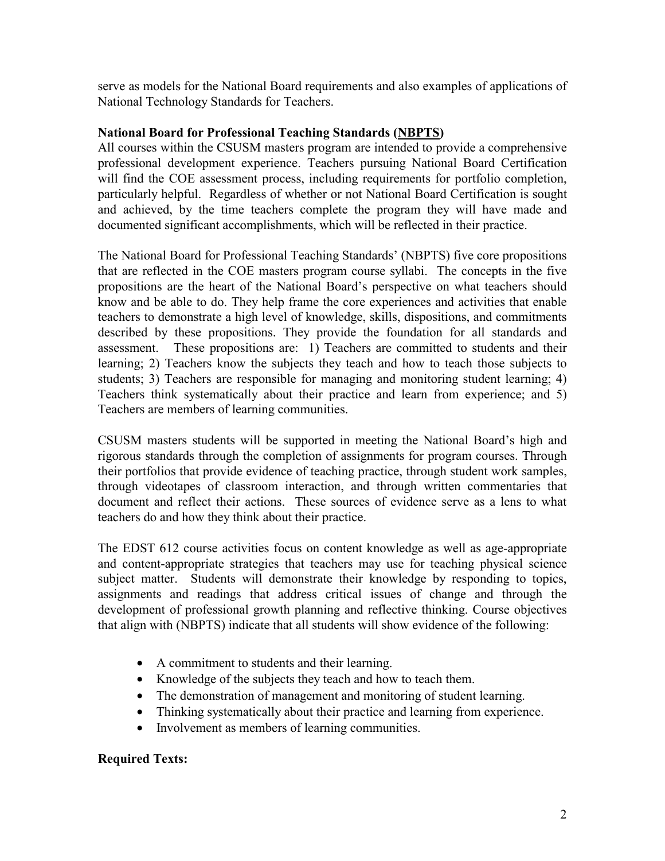serve as models for the National Board requirements and also examples of applications of National Technology Standards for Teachers.

### **National Board for Professional Teaching Standards (NBPTS)**

All courses within the CSUSM masters program are intended to provide a comprehensive professional development experience. Teachers pursuing National Board Certification will find the COE assessment process, including requirements for portfolio completion, particularly helpful. Regardless of whether or not National Board Certification is sought and achieved, by the time teachers complete the program they will have made and documented significant accomplishments, which will be reflected in their practice.

The National Board for Professional Teaching Standards' (NBPTS) five core propositions that are reflected in the COE masters program course syllabi. The concepts in the five propositions are the heart of the National Board's perspective on what teachers should know and be able to do. They help frame the core experiences and activities that enable teachers to demonstrate a high level of knowledge, skills, dispositions, and commitments described by these propositions. They provide the foundation for all standards and assessment. These propositions are: 1) Teachers are committed to students and their learning; 2) Teachers know the subjects they teach and how to teach those subjects to students; 3) Teachers are responsible for managing and monitoring student learning; 4) Teachers think systematically about their practice and learn from experience; and 5) Teachers are members of learning communities.

CSUSM masters students will be supported in meeting the National Board's high and rigorous standards through the completion of assignments for program courses. Through their portfolios that provide evidence of teaching practice, through student work samples, through videotapes of classroom interaction, and through written commentaries that document and reflect their actions. These sources of evidence serve as a lens to what teachers do and how they think about their practice.

The EDST 612 course activities focus on content knowledge as well as age-appropriate and content-appropriate strategies that teachers may use for teaching physical science subject matter. Students will demonstrate their knowledge by responding to topics, assignments and readings that address critical issues of change and through the development of professional growth planning and reflective thinking. Course objectives that align with (NBPTS) indicate that all students will show evidence of the following:

- A commitment to students and their learning.
- Knowledge of the subjects they teach and how to teach them.
- The demonstration of management and monitoring of student learning.
- Thinking systematically about their practice and learning from experience.
- Involvement as members of learning communities.

# **Required Texts:**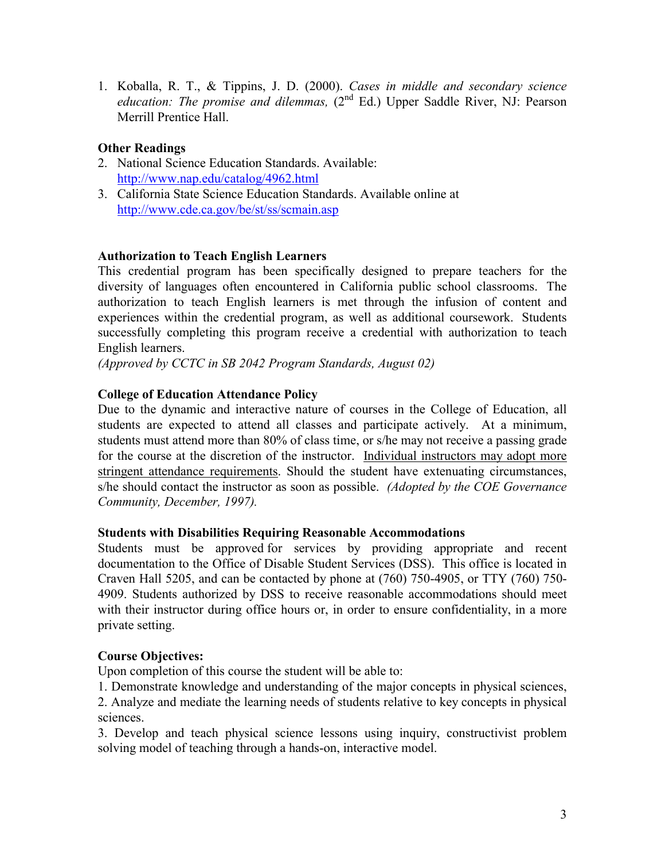1. Koballa, R. T., & Tippins, J. D. (2000). *Cases in middle and secondary science*  education: The promise and dilemmas, (2<sup>nd</sup> Ed.) Upper Saddle River, NJ: Pearson Merrill Prentice Hall.

# **Other Readings**

- 2. National Science Education Standards. Available: http://www.nap.edu/catalog/4962.html
- 3. California State Science Education Standards. Available online at http://www.cde.ca.gov/be/st/ss/scmain.asp

### **Authorization to Teach English Learners**

This credential program has been specifically designed to prepare teachers for the diversity of languages often encountered in California public school classrooms. The authorization to teach English learners is met through the infusion of content and experiences within the credential program, as well as additional coursework. Students successfully completing this program receive a credential with authorization to teach English learners.

*(Approved by CCTC in SB 2042 Program Standards, August 02)*

## **College of Education Attendance Policy**

Due to the dynamic and interactive nature of courses in the College of Education, all students are expected to attend all classes and participate actively. At a minimum, students must attend more than 80% of class time, or s/he may not receive a passing grade for the course at the discretion of the instructor. Individual instructors may adopt more stringent attendance requirements. Should the student have extenuating circumstances, s/he should contact the instructor as soon as possible. *(Adopted by the COE Governance Community, December, 1997).*

### **Students with Disabilities Requiring Reasonable Accommodations**

Students must be approved for services by providing appropriate and recent documentation to the Office of Disable Student Services (DSS). This office is located in Craven Hall 5205, and can be contacted by phone at (760) 750-4905, or TTY (760) 750- 4909. Students authorized by DSS to receive reasonable accommodations should meet with their instructor during office hours or, in order to ensure confidentiality, in a more private setting.

### **Course Objectives:**

Upon completion of this course the student will be able to:

1. Demonstrate knowledge and understanding of the major concepts in physical sciences,

2. Analyze and mediate the learning needs of students relative to key concepts in physical sciences.

3. Develop and teach physical science lessons using inquiry, constructivist problem solving model of teaching through a hands-on, interactive model.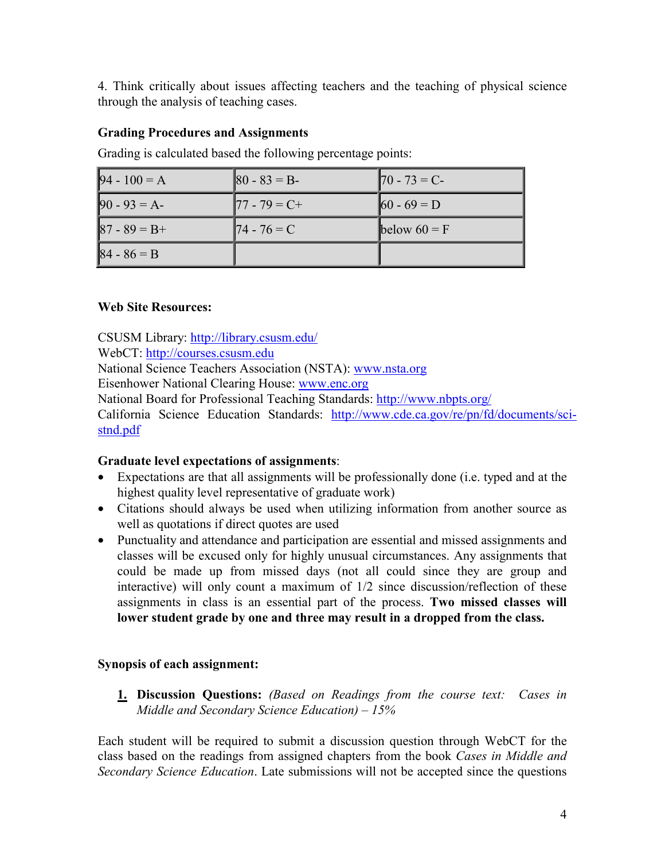4. Think critically about issues affecting teachers and the teaching of physical science through the analysis of teaching cases.

### **Grading Procedures and Assignments**

| $94 - 100 = A$  | $ 80 - 83  = B$ | $\vert 70 - 73 = C$        |
|-----------------|-----------------|----------------------------|
| $90 - 93 = A$   | $77 - 79 = C +$ | $\left 60 - 69\right  = D$ |
| $87 - 89 = B +$ | $174 - 76 = C$  | below $60 = F$             |
| $ 84 - 86 = B $ |                 |                            |

Grading is calculated based the following percentage points:

#### **Web Site Resources:**

CSUSM Library: http://library.csusm.edu/ WebCT: http://courses.csusm.edu National Science Teachers Association (NSTA): www.nsta.org Eisenhower National Clearing House: www.enc.org National Board for Professional Teaching Standards: http://www.nbpts.org/ California Science Education Standards: http://www.cde.ca.gov/re/pn/fd/documents/scistnd.pdf

### **Graduate level expectations of assignments**:

- Expectations are that all assignments will be professionally done (i.e. typed and at the highest quality level representative of graduate work)
- Citations should always be used when utilizing information from another source as well as quotations if direct quotes are used
- Punctuality and attendance and participation are essential and missed assignments and classes will be excused only for highly unusual circumstances. Any assignments that could be made up from missed days (not all could since they are group and interactive) will only count a maximum of 1/2 since discussion/reflection of these assignments in class is an essential part of the process. **Two missed classes will lower student grade by one and three may result in a dropped from the class.**

# **Synopsis of each assignment:**

**1. Discussion Questions:** *(Based on Readings from the course text: Cases in Middle and Secondary Science Education) – 15%* 

Each student will be required to submit a discussion question through WebCT for the class based on the readings from assigned chapters from the book *Cases in Middle and Secondary Science Education*. Late submissions will not be accepted since the questions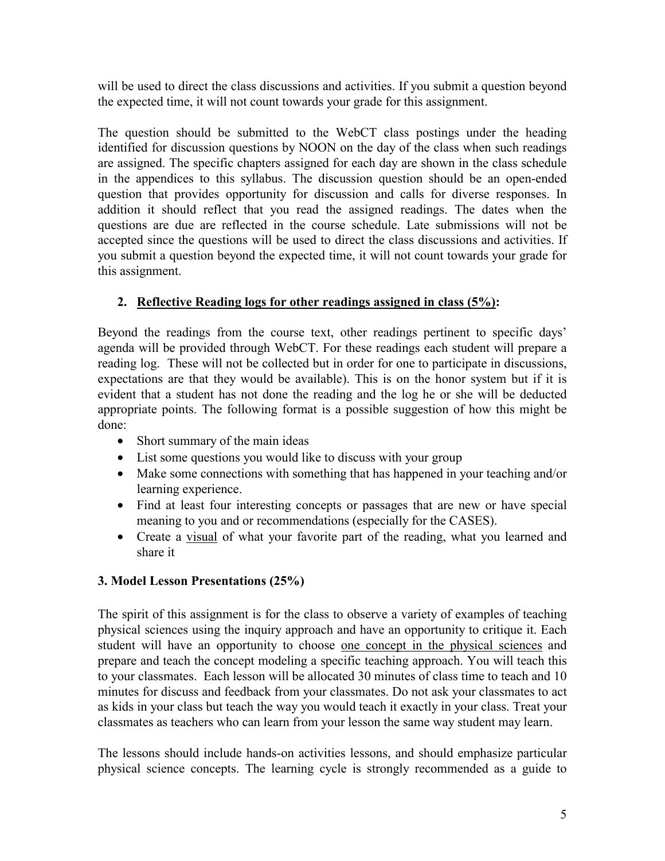will be used to direct the class discussions and activities. If you submit a question beyond the expected time, it will not count towards your grade for this assignment.

The question should be submitted to the WebCT class postings under the heading identified for discussion questions by NOON on the day of the class when such readings are assigned. The specific chapters assigned for each day are shown in the class schedule in the appendices to this syllabus. The discussion question should be an open-ended question that provides opportunity for discussion and calls for diverse responses. In addition it should reflect that you read the assigned readings. The dates when the questions are due are reflected in the course schedule. Late submissions will not be accepted since the questions will be used to direct the class discussions and activities. If you submit a question beyond the expected time, it will not count towards your grade for this assignment.

# **2. Reflective Reading logs for other readings assigned in class (5%):**

Beyond the readings from the course text, other readings pertinent to specific days' agenda will be provided through WebCT. For these readings each student will prepare a reading log. These will not be collected but in order for one to participate in discussions, expectations are that they would be available). This is on the honor system but if it is evident that a student has not done the reading and the log he or she will be deducted appropriate points. The following format is a possible suggestion of how this might be done:

- Short summary of the main ideas
- List some questions you would like to discuss with your group
- Make some connections with something that has happened in your teaching and/or learning experience.
- Find at least four interesting concepts or passages that are new or have special meaning to you and or recommendations (especially for the CASES).
- Create a visual of what your favorite part of the reading, what you learned and share it

# **3. Model Lesson Presentations (25%)**

The spirit of this assignment is for the class to observe a variety of examples of teaching physical sciences using the inquiry approach and have an opportunity to critique it. Each student will have an opportunity to choose one concept in the physical sciences and prepare and teach the concept modeling a specific teaching approach. You will teach this to your classmates. Each lesson will be allocated 30 minutes of class time to teach and 10 minutes for discuss and feedback from your classmates. Do not ask your classmates to act as kids in your class but teach the way you would teach it exactly in your class. Treat your classmates as teachers who can learn from your lesson the same way student may learn.

The lessons should include hands-on activities lessons, and should emphasize particular physical science concepts. The learning cycle is strongly recommended as a guide to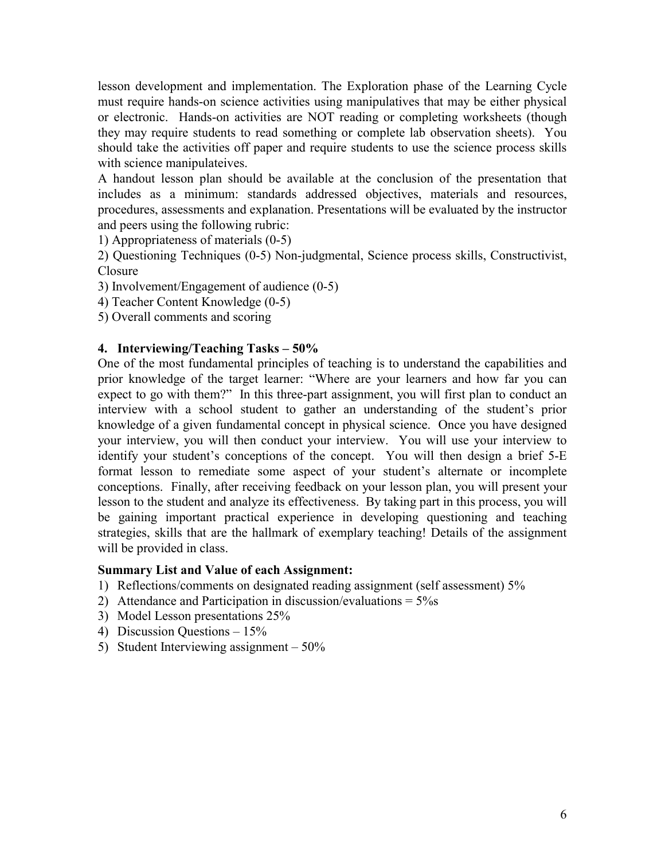lesson development and implementation. The Exploration phase of the Learning Cycle must require hands-on science activities using manipulatives that may be either physical or electronic. Hands-on activities are NOT reading or completing worksheets (though they may require students to read something or complete lab observation sheets). You should take the activities off paper and require students to use the science process skills with science manipulateives.

A handout lesson plan should be available at the conclusion of the presentation that includes as a minimum: standards addressed objectives, materials and resources, procedures, assessments and explanation. Presentations will be evaluated by the instructor and peers using the following rubric:

1) Appropriateness of materials (0-5)

2) Questioning Techniques (0-5) Non-judgmental, Science process skills, Constructivist, Closure

3) Involvement/Engagement of audience (0-5)

4) Teacher Content Knowledge (0-5)

5) Overall comments and scoring

#### **4. Interviewing/Teaching Tasks – 50%**

One of the most fundamental principles of teaching is to understand the capabilities and prior knowledge of the target learner: "Where are your learners and how far you can expect to go with them?" In this three-part assignment, you will first plan to conduct an interview with a school student to gather an understanding of the student's prior knowledge of a given fundamental concept in physical science. Once you have designed your interview, you will then conduct your interview. You will use your interview to identify your student's conceptions of the concept. You will then design a brief 5-E format lesson to remediate some aspect of your student's alternate or incomplete conceptions. Finally, after receiving feedback on your lesson plan, you will present your lesson to the student and analyze its effectiveness. By taking part in this process, you will be gaining important practical experience in developing questioning and teaching strategies, skills that are the hallmark of exemplary teaching! Details of the assignment will be provided in class.

#### **Summary List and Value of each Assignment:**

- 1) Reflections/comments on designated reading assignment (self assessment) 5%
- 2) Attendance and Participation in discussion/evaluations = 5%s
- 3) Model Lesson presentations 25%
- 4) Discussion Questions 15%
- 5) Student Interviewing assignment 50%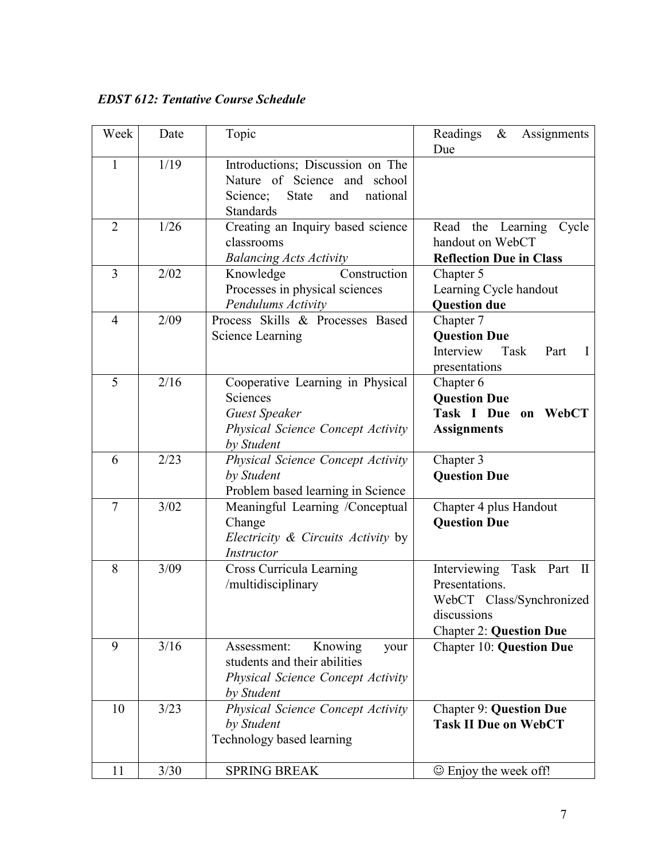*EDST 612: Tentative Course Schedule* 

| Week           | Date | Topic                                                                                                                               | Readings<br>Assignments<br>$\&$<br>Due                                                                                                   |
|----------------|------|-------------------------------------------------------------------------------------------------------------------------------------|------------------------------------------------------------------------------------------------------------------------------------------|
| 1              | 1/19 | Introductions; Discussion on The<br>Nature of Science and school<br><b>State</b><br>national<br>Science;<br>and<br><b>Standards</b> |                                                                                                                                          |
| $\overline{2}$ | 1/26 | Creating an Inquiry based science<br>classrooms<br><b>Balancing Acts Activity</b>                                                   | the<br>Learning<br>Read<br>Cycle<br>handout on WebCT<br><b>Reflection Due in Class</b>                                                   |
| 3              | 2/02 | Construction<br>Knowledge<br>Processes in physical sciences<br>Pendulums Activity                                                   | Chapter 5<br>Learning Cycle handout<br><b>Question due</b>                                                                               |
| 4              | 2/09 | Process Skills & Processes Based<br><b>Science Learning</b>                                                                         | Chapter 7<br><b>Question Due</b><br>Interview<br>Task<br>Part<br>$\mathbf{I}$<br>presentations                                           |
| 5              | 2/16 | Cooperative Learning in Physical<br>Sciences<br><b>Guest Speaker</b><br>Physical Science Concept Activity<br>by Student             | Chapter 6<br><b>Question Due</b><br>Task I Due<br>WebCT<br>on<br><b>Assignments</b>                                                      |
| 6              | 2/23 | Physical Science Concept Activity<br>by Student<br>Problem based learning in Science                                                | Chapter 3<br><b>Question Due</b>                                                                                                         |
| $\overline{7}$ | 3/02 | Meaningful Learning /Conceptual<br>Change<br><i>Electricity &amp; Circuits Activity</i> by<br>Instructor                            | Chapter 4 plus Handout<br><b>Question Due</b>                                                                                            |
| 8              | 3/09 | Cross Curricula Learning<br>/multidisciplinary                                                                                      | Task Part<br>Interviewing<br>$\mathbf{I}$<br>Presentations.<br>WebCT Class/Synchronized<br>discussions<br><b>Chapter 2: Question Due</b> |
| 9              | 3/16 | Knowing<br>Assessment:<br>your<br>students and their abilities<br>Physical Science Concept Activity<br>by Student                   | <b>Chapter 10: Question Due</b>                                                                                                          |
| 10             | 3/23 | <b>Physical Science Concept Activity</b><br>by Student<br>Technology based learning                                                 | <b>Chapter 9: Question Due</b><br><b>Task II Due on WebCT</b>                                                                            |
| 11             | 3/30 | <b>SPRING BREAK</b>                                                                                                                 | $\odot$ Enjoy the week off!                                                                                                              |